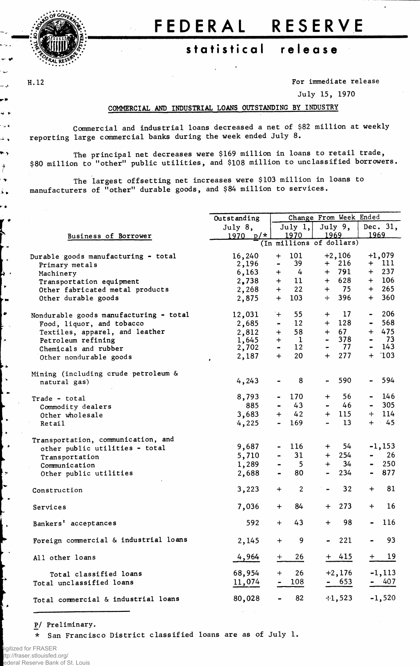

## FEDERAL RESERVE

## **statistica l releas e**

ی ہے

د ت - 8  $\ddot{\phantom{1}}$ ∢ ن ∗  $\overline{\phantom{a}}$  . ٠,

 $\rightarrow$  $\ddot{\bullet}$ م ک r. y ( Á

**4** 

 $\bullet$ 

 $\mathbf{v}$ 

٠.

پ ا

Ļ,

**H.12 For immediate release**

**July 15, 1970**

## **COMMERCIAL AND INDUSTRIAL LOANS OUTSTANDING BY INDUSTRY**

**Commercial and industrial loans decreased a net of \$82 million at weekly reporting large commercial banks during the week ended July 8.**

**The principal net decreases were \$169 million in loans to retail trade, \$80 million to "other" public utilities, and \$108 million to unclassified borrowers.**

**The largest offsetting net increases were \$ 103 million in loans to manufacturers of "other" durable goods, and \$84 million to services.**

|                                        | Outstanding |                                                                         | Change From Week Ended |                |          |                                  |           |  |
|----------------------------------------|-------------|-------------------------------------------------------------------------|------------------------|----------------|----------|----------------------------------|-----------|--|
|                                        | July 8,     |                                                                         | July 1,                | July 9,        | Dec. 31, |                                  |           |  |
| Business of Borrower                   | $1970 p/*$  |                                                                         | 1970                   | 1969           |          | 1969                             |           |  |
|                                        |             | (In millions of dollars)                                                |                        |                |          |                                  |           |  |
| Durable goods manufacturing - total    | 16,240      | $+$                                                                     | 101                    |                | $+2,106$ | $+1,079$                         |           |  |
| Primary metals                         | 2,196       | $\qquad \qquad \blacksquare$                                            | 39                     |                | $+ 216$  | $+$                              | 111       |  |
| Machinery                              | 6,163       |                                                                         | $+ 4$                  |                | $+ 791$  | $+$                              | 237       |  |
| Transportation equipment               | 2,738       |                                                                         | $+$ 11                 |                | $+ 628$  |                                  | $+$ 106   |  |
| Other fabricated metal products        | 2,268       | $+$                                                                     | 22                     |                | $+ 75$   | $+$                              | 265       |  |
| Other durable goods                    | 2,875       |                                                                         | $+ 103$                |                | $+ 396$  | $+$                              | 360       |  |
|                                        |             |                                                                         | 55                     |                | $+$ 17   |                                  | $-206$    |  |
| Nondurable goods manufacturing - total | 12,031      | $+$                                                                     |                        |                |          |                                  |           |  |
| Food, liquor, and tobacco              | 2,685       | -                                                                       | 12 <sup>2</sup>        |                | $+ 128$  | $\blacksquare$                   | 568       |  |
| Textiles, apparel, and leather         | 2,812       | $+$                                                                     | 58                     |                | $+ 67$   |                                  | $+ 475$   |  |
| Petroleum refining                     | 1,645       | $+$                                                                     | $\mathbf{1}$           |                | $-378$   | $\blacksquare$<br>$\blacksquare$ | 73<br>143 |  |
| Chemicals and rubber                   | 2,702       | $\qquad \qquad \blacksquare$                                            | 12 <sub>2</sub>        |                | - 77     |                                  |           |  |
| Other nondurable goods                 | 2,187       | $+$                                                                     | 20                     |                | $+$ 277  |                                  | $+$ '103  |  |
| Mining (including crude petroleum &    |             |                                                                         |                        |                |          |                                  |           |  |
| natural gas)                           | 4,243       |                                                                         | 8                      |                | 590      |                                  | 594       |  |
|                                        | 8,793       |                                                                         | 170                    | $\div$         | 56       | $\bullet$ .                      | 146       |  |
| Trade - total                          | 885         | $\bullet$ .<br><br><br><br><br><br><br><br><br><br><br><br><br><br><br> | 43                     |                | 46       | $\blacksquare$                   | 305       |  |
| Commodity dealers                      |             | $+$                                                                     | 42                     |                | $+$ 115  | ╈                                | 114       |  |
| Other wholesale                        | 3,683       |                                                                         |                        |                |          |                                  | $+ 45$    |  |
| <b>Retail</b>                          | 4,225       | $\blacksquare$                                                          | 169                    | $\blacksquare$ | 13       |                                  |           |  |
| Transportation, communication, and     |             |                                                                         |                        |                |          |                                  |           |  |
| other public utilities - total         | 9,687       |                                                                         | 116                    | $+$ $-$        | 54       |                                  | $-1,153$  |  |
| Transportation                         | 5,710       |                                                                         | 31                     |                | $+ 254$  |                                  | 26        |  |
| Communication                          | 1,289       |                                                                         | 5 <sub>1</sub>         |                | $+ 34$   | $\blacksquare$                   | 250       |  |
| Other public utilities                 | 2,688       | $\qquad \qquad \blacksquare$                                            | 80                     | $\sim$         | 234      |                                  | $-877$    |  |
| Construction                           | 3,223       | $+$                                                                     | $\overline{2}$         |                | 32       | $+$                              | 81        |  |
|                                        |             |                                                                         |                        |                |          |                                  |           |  |
| Services                               | 7,036       | $+$                                                                     | 84                     | $+$            | 273      | $+$                              | 16        |  |
| Bankers' acceptances                   | 592         | $+$                                                                     | 43                     | $+$            | 98       |                                  | 116       |  |
| Foreign commercial & industrial loans  | 2,145       | $+$                                                                     | 9                      |                | 221      |                                  | 93        |  |
| All other loans                        | 4,964       | $\pm$                                                                   | 26                     |                | + 415    | $\pm$                            | 19        |  |
| Total classified loans                 | 68,954      | $\ddot{}$                                                               | 26                     |                | $+2,176$ |                                  | $-1,113$  |  |
| Total unclassified loans               | 11,074      |                                                                         | 108                    |                | - 653    |                                  | 407       |  |
|                                        |             |                                                                         |                        |                |          |                                  |           |  |
| Total commercial & industrial loans    | 80,028      |                                                                         | 82                     |                | 41,523   |                                  | $-1,520$  |  |

**P/ Preliminary.**

**\* San Francisco District classified loans are as of July 1.**

ligitized for FRASER ttp://fraser.stlouisfed.org/ ederal Reserve Bank of St. Louis